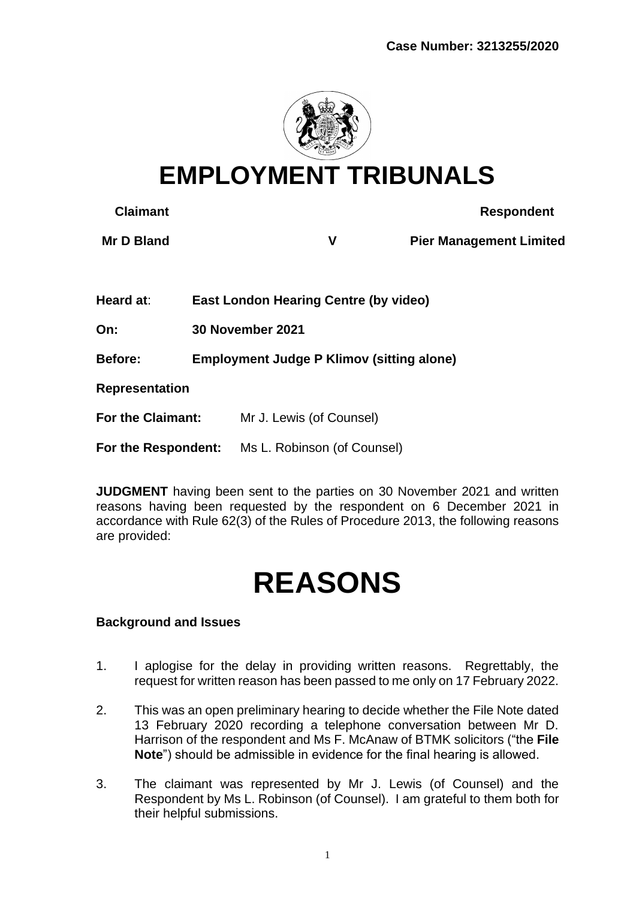

# **EMPLOYMENT TRIBUNALS**

| <b>Claimant</b>          |                                                  |                             |   | <b>Respondent</b>              |
|--------------------------|--------------------------------------------------|-----------------------------|---|--------------------------------|
| Mr D Bland               |                                                  |                             | ۷ | <b>Pier Management Limited</b> |
|                          |                                                  |                             |   |                                |
| Heard at:                | <b>East London Hearing Centre (by video)</b>     |                             |   |                                |
| On:                      | <b>30 November 2021</b>                          |                             |   |                                |
| Before:                  | <b>Employment Judge P Klimov (sitting alone)</b> |                             |   |                                |
| <b>Representation</b>    |                                                  |                             |   |                                |
| <b>For the Claimant:</b> |                                                  | Mr J. Lewis (of Counsel)    |   |                                |
| For the Respondent:      |                                                  | Ms L. Robinson (of Counsel) |   |                                |

**JUDGMENT** having been sent to the parties on 30 November 2021 and written reasons having been requested by the respondent on 6 December 2021 in accordance with Rule 62(3) of the Rules of Procedure 2013, the following reasons are provided:

# **REASONS**

# **Background and Issues**

- 1. I aplogise for the delay in providing written reasons. Regrettably, the request for written reason has been passed to me only on 17 February 2022.
- 2. This was an open preliminary hearing to decide whether the File Note dated 13 February 2020 recording a telephone conversation between Mr D. Harrison of the respondent and Ms F. McAnaw of BTMK solicitors ("the **File Note**") should be admissible in evidence for the final hearing is allowed.
- 3. The claimant was represented by Mr J. Lewis (of Counsel) and the Respondent by Ms L. Robinson (of Counsel). I am grateful to them both for their helpful submissions.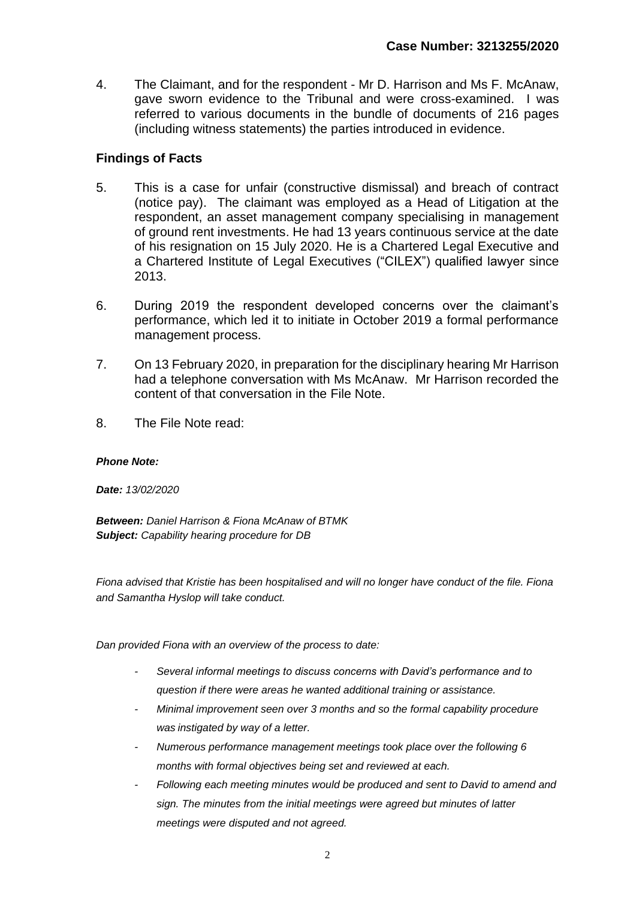4. The Claimant, and for the respondent - Mr D. Harrison and Ms F. McAnaw, gave sworn evidence to the Tribunal and were cross-examined. I was referred to various documents in the bundle of documents of 216 pages (including witness statements) the parties introduced in evidence.

# **Findings of Facts**

- 5. This is a case for unfair (constructive dismissal) and breach of contract (notice pay). The claimant was employed as a Head of Litigation at the respondent, an asset management company specialising in management of ground rent investments. He had 13 years continuous service at the date of his resignation on 15 July 2020. He is a Chartered Legal Executive and a Chartered Institute of Legal Executives ("CILEX") qualified lawyer since 2013.
- 6. During 2019 the respondent developed concerns over the claimant's performance, which led it to initiate in October 2019 a formal performance management process.
- 7. On 13 February 2020, in preparation for the disciplinary hearing Mr Harrison had a telephone conversation with Ms McAnaw. Mr Harrison recorded the content of that conversation in the File Note.
- 8. The File Note read:

#### *Phone Note:*

*Date: 13/02/2020*

*Between: Daniel Harrison & Fiona McAnaw of BTMK Subject: Capability hearing procedure for DB*

*Fiona advised that Kristie has been hospitalised and will no longer have conduct of the file. Fiona and Samantha Hyslop will take conduct.* 

*Dan provided Fiona with an overview of the process to date:* 

- *- Several informal meetings to discuss concerns with David's performance and to question if there were areas he wanted additional training or assistance.*
- *- Minimal improvement seen over 3 months and so the formal capability procedure was instigated by way of a letter.*
- *- Numerous performance management meetings took place over the following 6 months with formal objectives being set and reviewed at each.*
- *- Following each meeting minutes would be produced and sent to David to amend and sign. The minutes from the initial meetings were agreed but minutes of latter meetings were disputed and not agreed.*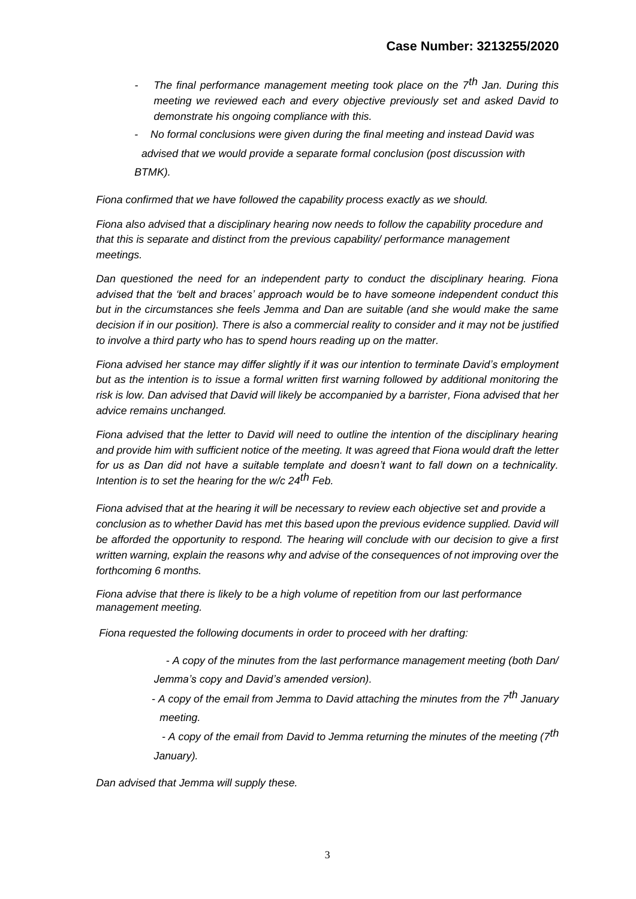- *- The final performance management meeting took place on the 7th Jan. During this meeting we reviewed each and every objective previously set and asked David to demonstrate his ongoing compliance with this.*
- *- No formal conclusions were given during the final meeting and instead David was advised that we would provide a separate formal conclusion (post discussion with BTMK).*

*Fiona confirmed that we have followed the capability process exactly as we should.* 

*Fiona also advised that a disciplinary hearing now needs to follow the capability procedure and that this is separate and distinct from the previous capability/ performance management meetings.* 

*Dan questioned the need for an independent party to conduct the disciplinary hearing. Fiona advised that the 'belt and braces' approach would be to have someone independent conduct this but in the circumstances she feels Jemma and Dan are suitable (and she would make the same decision if in our position). There is also a commercial reality to consider and it may not be justified to involve a third party who has to spend hours reading up on the matter.* 

*Fiona advised her stance may differ slightly if it was our intention to terminate David's employment but as the intention is to issue a formal written first warning followed by additional monitoring the risk is low. Dan advised that David will likely be accompanied by a barrister, Fiona advised that her advice remains unchanged.* 

*Fiona advised that the letter to David will need to outline the intention of the disciplinary hearing and provide him with sufficient notice of the meeting. It was agreed that Fiona would draft the letter for us as Dan did not have a suitable template and doesn't want to fall down on a technicality. Intention is to set the hearing for the w/c 24th Feb.* 

*Fiona advised that at the hearing it will be necessary to review each objective set and provide a conclusion as to whether David has met this based upon the previous evidence supplied. David will be afforded the opportunity to respond. The hearing will conclude with our decision to give a first written warning, explain the reasons why and advise of the consequences of not improving over the forthcoming 6 months.* 

*Fiona advise that there is likely to be a high volume of repetition from our last performance management meeting.* 

*Fiona requested the following documents in order to proceed with her drafting:* 

- *- A copy of the minutes from the last performance management meeting (both Dan/ Jemma's copy and David's amended version).*
- *- A copy of the email from Jemma to David attaching the minutes from the 7th January meeting.*

*- A copy of the email from David to Jemma returning the minutes of the meeting (7th January).* 

*Dan advised that Jemma will supply these.*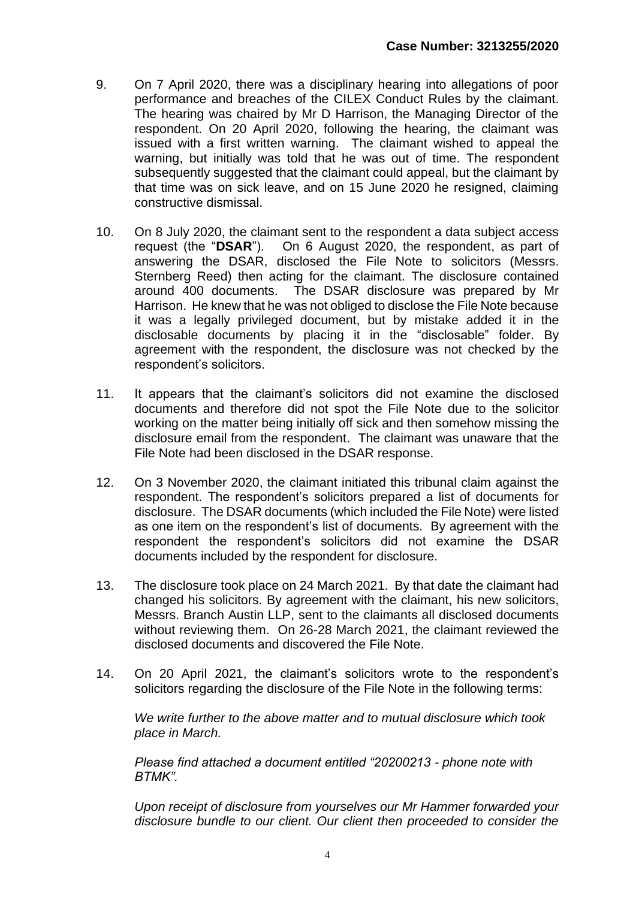- 9. On 7 April 2020, there was a disciplinary hearing into allegations of poor performance and breaches of the CILEX Conduct Rules by the claimant. The hearing was chaired by Mr D Harrison, the Managing Director of the respondent. On 20 April 2020, following the hearing, the claimant was issued with a first written warning. The claimant wished to appeal the warning, but initially was told that he was out of time. The respondent subsequently suggested that the claimant could appeal, but the claimant by that time was on sick leave, and on 15 June 2020 he resigned, claiming constructive dismissal.
- 10. On 8 July 2020, the claimant sent to the respondent a data subject access request (the "**DSAR**"). On 6 August 2020, the respondent, as part of answering the DSAR, disclosed the File Note to solicitors (Messrs. Sternberg Reed) then acting for the claimant. The disclosure contained around 400 documents. The DSAR disclosure was prepared by Mr Harrison. He knew that he was not obliged to disclose the File Note because it was a legally privileged document, but by mistake added it in the disclosable documents by placing it in the "disclosable" folder. By agreement with the respondent, the disclosure was not checked by the respondent's solicitors.
- 11. It appears that the claimant's solicitors did not examine the disclosed documents and therefore did not spot the File Note due to the solicitor working on the matter being initially off sick and then somehow missing the disclosure email from the respondent. The claimant was unaware that the File Note had been disclosed in the DSAR response.
- 12. On 3 November 2020, the claimant initiated this tribunal claim against the respondent. The respondent's solicitors prepared a list of documents for disclosure. The DSAR documents (which included the File Note) were listed as one item on the respondent's list of documents. By agreement with the respondent the respondent's solicitors did not examine the DSAR documents included by the respondent for disclosure.
- 13. The disclosure took place on 24 March 2021. By that date the claimant had changed his solicitors. By agreement with the claimant, his new solicitors, Messrs. Branch Austin LLP, sent to the claimants all disclosed documents without reviewing them. On 26-28 March 2021, the claimant reviewed the disclosed documents and discovered the File Note.
- 14. On 20 April 2021, the claimant's solicitors wrote to the respondent's solicitors regarding the disclosure of the File Note in the following terms:

*We write further to the above matter and to mutual disclosure which took place in March.* 

*Please find attached a document entitled "20200213 - phone note with BTMK".* 

*Upon receipt of disclosure from yourselves our Mr Hammer forwarded your disclosure bundle to our client. Our client then proceeded to consider the*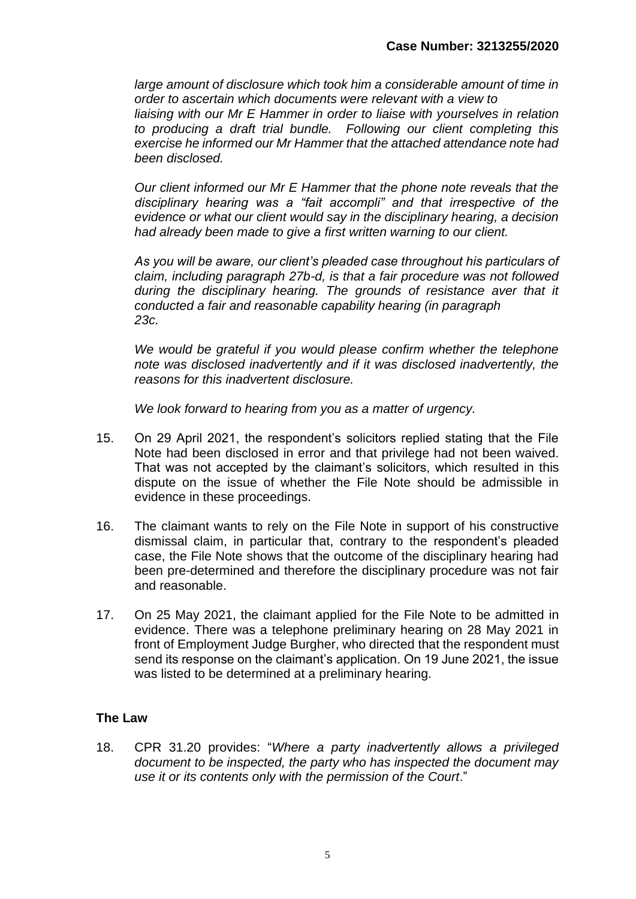large amount of disclosure which took him a considerable amount of time in *order to ascertain which documents were relevant with a view to liaising with our Mr E Hammer in order to liaise with yourselves in relation to producing a draft trial bundle. Following our client completing this exercise he informed our Mr Hammer that the attached attendance note had been disclosed.* 

*Our client informed our Mr E Hammer that the phone note reveals that the disciplinary hearing was a "fait accompli" and that irrespective of the evidence or what our client would say in the disciplinary hearing, a decision had already been made to give a first written warning to our client.* 

*As you will be aware, our client's pleaded case throughout his particulars of claim, including paragraph 27b-d, is that a fair procedure was not followed*  during the disciplinary hearing. The grounds of resistance aver that it *conducted a fair and reasonable capability hearing (in paragraph 23c.*

*We would be grateful if you would please confirm whether the telephone note was disclosed inadvertently and if it was disclosed inadvertently, the reasons for this inadvertent disclosure.* 

*We look forward to hearing from you as a matter of urgency.*

- 15. On 29 April 2021, the respondent's solicitors replied stating that the File Note had been disclosed in error and that privilege had not been waived. That was not accepted by the claimant's solicitors, which resulted in this dispute on the issue of whether the File Note should be admissible in evidence in these proceedings.
- 16. The claimant wants to rely on the File Note in support of his constructive dismissal claim, in particular that, contrary to the respondent's pleaded case, the File Note shows that the outcome of the disciplinary hearing had been pre-determined and therefore the disciplinary procedure was not fair and reasonable.
- 17. On 25 May 2021, the claimant applied for the File Note to be admitted in evidence. There was a telephone preliminary hearing on 28 May 2021 in front of Employment Judge Burgher, who directed that the respondent must send its response on the claimant's application. On 19 June 2021, the issue was listed to be determined at a preliminary hearing.

## **The Law**

18. CPR 31.20 provides: "*Where a party inadvertently allows a privileged document to be inspected, the party who has inspected the document may use it or its contents only with the permission of the Court*."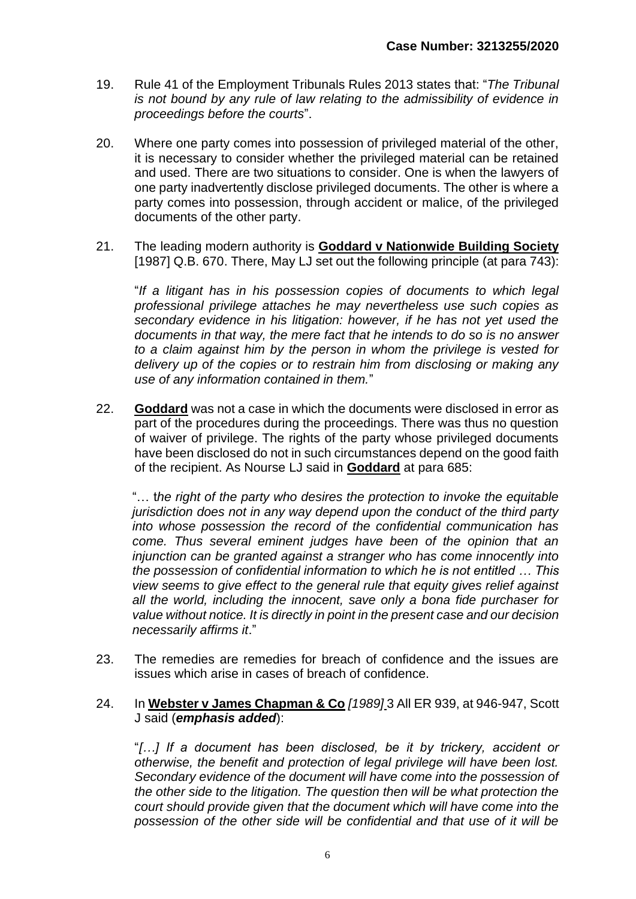- 19. Rule 41 of the Employment Tribunals Rules 2013 states that: "*The Tribunal is not bound by any rule of law relating to the admissibility of evidence in proceedings before the courts*".
- 20. Where one party comes into possession of privileged material of the other, it is necessary to consider whether the privileged material can be retained and used. There are two situations to consider. One is when the lawyers of one party inadvertently disclose privileged documents. The other is where a party comes into possession, through accident or malice, of the privileged documents of the other party.
- 21. The leading modern authority is **Goddard v Nationwide Building Society** [1987] Q.B. 670. There, May LJ set out the following principle (at para 743):

"*If a litigant has in his possession copies of documents to which legal professional privilege attaches he may nevertheless use such copies as secondary evidence in his litigation: however, if he has not yet used the documents in that way, the mere fact that he intends to do so is no answer to a claim against him by the person in whom the privilege is vested for delivery up of the copies or to restrain him from disclosing or making any use of any information contained in them.*"

22. **Goddard** was not a case in which the documents were disclosed in error as part of the procedures during the proceedings. There was thus no question of waiver of privilege. The rights of the party whose privileged documents have been disclosed do not in such circumstances depend on the good faith of the recipient. As Nourse LJ said in **Goddard** at para 685:

"… t*he right of the party who desires the protection to invoke the equitable jurisdiction does not in any way depend upon the conduct of the third party into whose possession the record of the confidential communication has come. Thus several eminent judges have been of the opinion that an injunction can be granted against a stranger who has come innocently into the possession of confidential information to which he is not entitled … This view seems to give effect to the general rule that equity gives relief against all the world, including the innocent, save only a bona fide purchaser for value without notice. It is directly in point in the present case and our decision necessarily affirms it*."

23. The remedies are remedies for breach of confidence and the issues are issues which arise in cases of breach of confidence.

### 24. In **Webster v James Chapman & Co** *[1989]* 3 All ER 939, at 946-947, Scott J said (*emphasis added*):

"*[…] If a document has been disclosed, be it by trickery, accident or otherwise, the benefit and protection of legal privilege will have been lost. Secondary evidence of the document will have come into the possession of the other side to the litigation. The question then will be what protection the court should provide given that the document which will have come into the possession of the other side will be confidential and that use of it will be*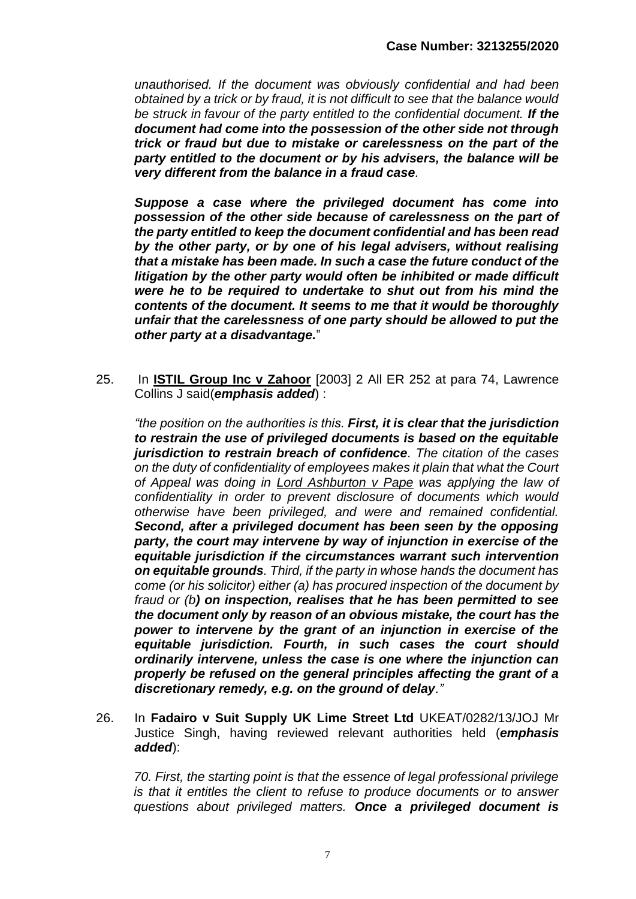*unauthorised. If the document was obviously confidential and had been obtained by a trick or by fraud, it is not difficult to see that the balance would be struck in favour of the party entitled to the confidential document. If the document had come into the possession of the other side not through trick or fraud but due to mistake or carelessness on the part of the party entitled to the document or by his advisers, the balance will be very different from the balance in a fraud case.*

*Suppose a case where the privileged document has come into possession of the other side because of carelessness on the part of the party entitled to keep the document confidential and has been read by the other party, or by one of his legal advisers, without realising that a mistake has been made. In such a case the future conduct of the litigation by the other party would often be inhibited or made difficult were he to be required to undertake to shut out from his mind the contents of the document. It seems to me that it would be thoroughly unfair that the carelessness of one party should be allowed to put the other party at a disadvantage.*"

25. In **ISTIL Group Inc v Zahoor** [2003] 2 All ER 252 at para 74, Lawrence Collins J said(*emphasis added*) :

*"the position on the authorities is this. First, it is clear that the jurisdiction to restrain the use of privileged documents is based on the equitable jurisdiction to restrain breach of confidence. The citation of the cases on the duty of confidentiality of employees makes it plain that what the Court of Appeal was doing in Lord Ashburton v Pape was applying the law of confidentiality in order to prevent disclosure of documents which would otherwise have been privileged, and were and remained confidential. Second, after a privileged document has been seen by the opposing party, the court may intervene by way of injunction in exercise of the equitable jurisdiction if the circumstances warrant such intervention on equitable grounds. Third, if the party in whose hands the document has come (or his solicitor) either (a) has procured inspection of the document by fraud or (b) on inspection, realises that he has been permitted to see the document only by reason of an obvious mistake, the court has the power to intervene by the grant of an injunction in exercise of the equitable jurisdiction. Fourth, in such cases the court should ordinarily intervene, unless the case is one where the injunction can properly be refused on the general principles affecting the grant of a discretionary remedy, e.g. on the ground of delay."*

<span id="page-6-0"></span>26. In **Fadairo v Suit Supply UK Lime Street Ltd** UKEAT/0282/13/JOJ Mr Justice Singh, having reviewed relevant authorities held (*emphasis added*):

*70. First, the starting point is that the essence of legal professional privilege is that it entitles the client to refuse to produce documents or to answer questions about privileged matters. Once a privileged document is*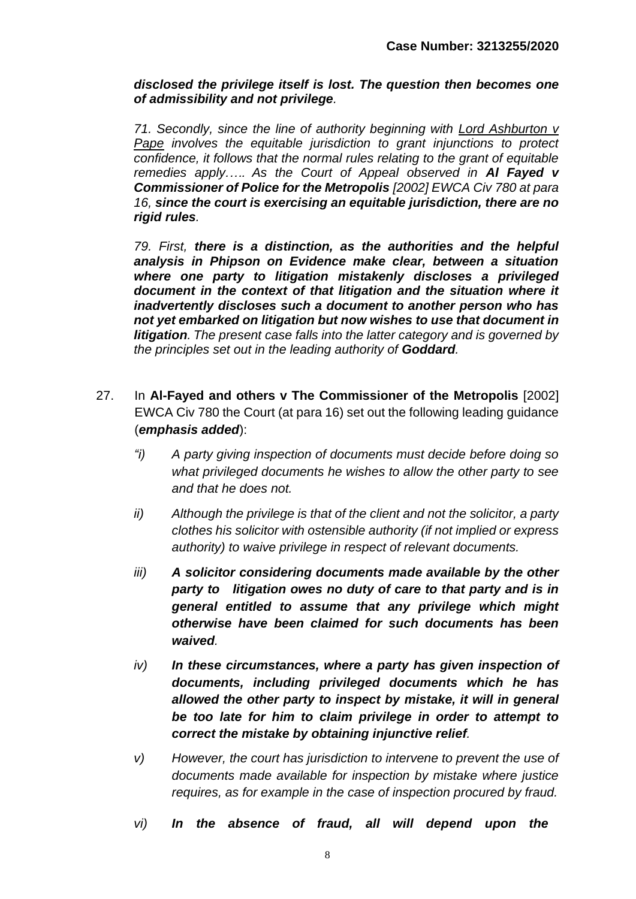*disclosed the privilege itself is lost. The question then becomes one of admissibility and not privilege.*

*71. Secondly, since the line of authority beginning with Lord Ashburton v Pape involves the equitable jurisdiction to grant injunctions to protect confidence, it follows that the normal rules relating to the grant of equitable remedies apply.…. As the Court of Appeal observed in Al Fayed v Commissioner of Police for the Metropolis [2002] EWCA Civ 780 at para 16, since the court is exercising an equitable jurisdiction, there are no rigid rules.*

*79. First, there is a distinction, as the authorities and the helpful analysis in Phipson on Evidence make clear, between a situation where one party to litigation mistakenly discloses a privileged document in the context of that litigation and the situation where it inadvertently discloses such a document to another person who has not yet embarked on litigation but now wishes to use that document in litigation. The present case falls into the latter category and is governed by the principles set out in the leading authority of Goddard.*

- 27. In **Al-Fayed and others v The Commissioner of the Metropolis** [2002] EWCA Civ 780 the Court (at para 16) set out the following leading guidance (*emphasis added*):
	- *"i) A party giving inspection of documents must decide before doing so what privileged documents he wishes to allow the other party to see and that he does not.*
	- *ii) Although the privilege is that of the client and not the solicitor, a party clothes his solicitor with ostensible authority (if not implied or express authority) to waive privilege in respect of relevant documents.*
	- *iii) A solicitor considering documents made available by the other party to litigation owes no duty of care to that party and is in general entitled to assume that any privilege which might otherwise have been claimed for such documents has been waived.*
	- *iv) In these circumstances, where a party has given inspection of documents, including privileged documents which he has allowed the other party to inspect by mistake, it will in general be too late for him to claim privilege in order to attempt to correct the mistake by obtaining injunctive relief.*
	- *v) However, the court has jurisdiction to intervene to prevent the use of documents made available for inspection by mistake where justice requires, as for example in the case of inspection procured by fraud.*
	- *vi) In the absence of fraud, all will depend upon the*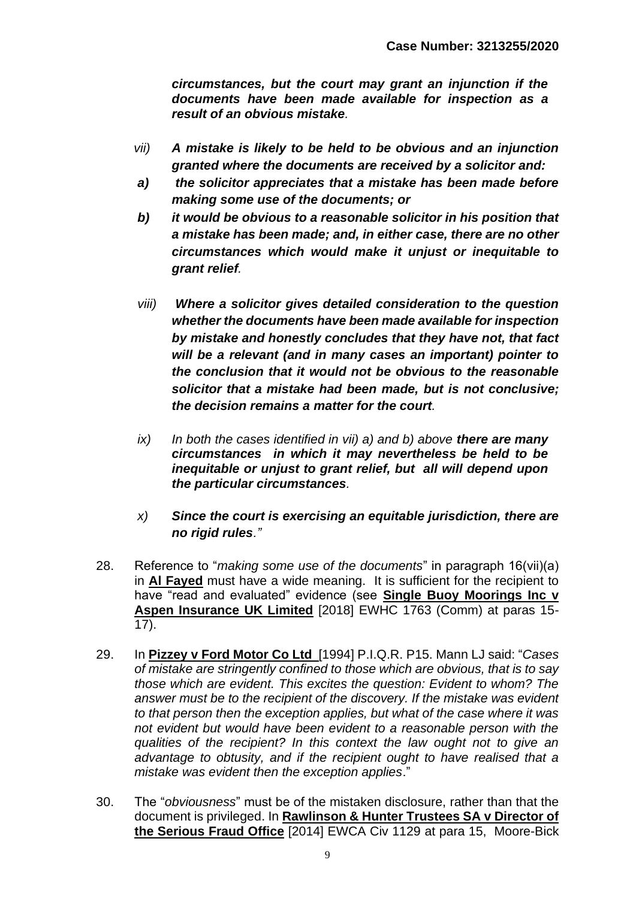*circumstances, but the court may grant an injunction if the documents have been made available for inspection as a result of an obvious mistake.*

- *vii) A mistake is likely to be held to be obvious and an injunction granted where the documents are received by a solicitor and:*
- *a) the solicitor appreciates that a mistake has been made before making some use of the documents; or*
- *b) it would be obvious to a reasonable solicitor in his position that a mistake has been made; and, in either case, there are no other circumstances which would make it unjust or inequitable to grant relief.*
- *viii) Where a solicitor gives detailed consideration to the question whether the documents have been made available for inspection by mistake and honestly concludes that they have not, that fact will be a relevant (and in many cases an important) pointer to the conclusion that it would not be obvious to the reasonable solicitor that a mistake had been made, but is not conclusive; the decision remains a matter for the court.*
- *ix) In both the cases identified in vii) a) and b) above there are many circumstances in which it may nevertheless be held to be inequitable or unjust to grant relief, but all will depend upon the particular circumstances.*
- *x) Since the court is exercising an equitable jurisdiction, there are no rigid rules."*
- 28. Reference to "*making some use of the documents*" in paragraph 16(vii)(a) in **Al Fayed** must have a wide meaning. It is sufficient for the recipient to have "read and evaluated" evidence (see **Single Buoy Moorings Inc v Aspen Insurance UK Limited** [2018] EWHC 1763 (Comm) at paras 15- 17).
- 29. In **Pizzey v Ford Motor Co Ltd** [1994] P.I.Q.R. P15. Mann LJ said: "*Cases of mistake are stringently confined to those which are obvious, that is to say those which are evident. This excites the question: Evident to whom? The answer must be to the recipient of the discovery. If the mistake was evident to that person then the exception applies, but what of the case where it was not evident but would have been evident to a reasonable person with the qualities of the recipient? In this context the law ought not to give an advantage to obtusity, and if the recipient ought to have realised that a mistake was evident then the exception applies*."
- 30. The "*obviousness*" must be of the mistaken disclosure, rather than that the document is privileged. In **Rawlinson & Hunter Trustees SA v Director of the Serious Fraud Office** [2014] EWCA Civ 1129 at para 15, Moore-Bick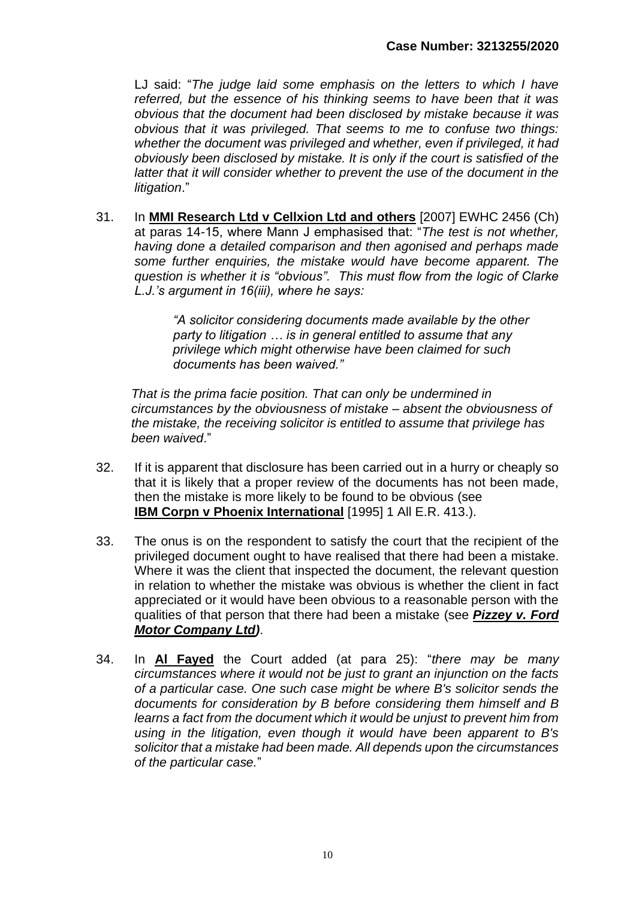LJ said: "*The judge laid some emphasis on the letters to which I have referred, but the essence of his thinking seems to have been that it was obvious that the document had been disclosed by mistake because it was obvious that it was privileged. That seems to me to confuse two things: whether the document was privileged and whether, even if privileged, it had obviously been disclosed by mistake. It is only if the court is satisfied of the latter that it will consider whether to prevent the use of the document in the litigation*."

31. In **MMI Research Ltd v Cellxion Ltd and others** [2007] EWHC 2456 (Ch) at paras 14-15, where Mann J emphasised that: "*The test is not whether, having done a detailed comparison and then agonised and perhaps made some further enquiries, the mistake would have become apparent. The question is whether it is "obvious". This must flow from the logic of Clarke L.J.'s argument in 16(iii), where he says:*

> *"A solicitor considering documents made available by the other party to litigation … is in general entitled to assume that any privilege which might otherwise have been claimed for such documents has been waived."*

*That is the prima facie position. That can only be undermined in circumstances by the obviousness of mistake – absent the obviousness of the mistake, the receiving solicitor is entitled to assume that privilege has been waived*."

- 32. If it is apparent that disclosure has been carried out in a hurry or cheaply so that it is likely that a proper review of the documents has not been made, then the mistake is more likely to be found to be obvious (see **IBM Corpn v Phoenix International** [1995] 1 All E.R. 413.).
- 33. The onus is on the respondent to satisfy the court that the recipient of the privileged document ought to have realised that there had been a mistake. Where it was the client that inspected the document, the relevant question in relation to whether the mistake was obvious is whether the client in fact appreciated or it would have been obvious to a reasonable person with the qualities of that person that there had been a mistake (see *Pizzey v. Ford Motor Company Ltd)*.
- 34. In **Al Fayed** the Court added (at para 25): "*there may be many circumstances where it would not be just to grant an injunction on the facts of a particular case. One such case might be where B's solicitor sends the documents for consideration by B before considering them himself and B learns a fact from the document which it would be unjust to prevent him from using in the litigation, even though it would have been apparent to B's solicitor that a mistake had been made. All depends upon the circumstances of the particular case.*"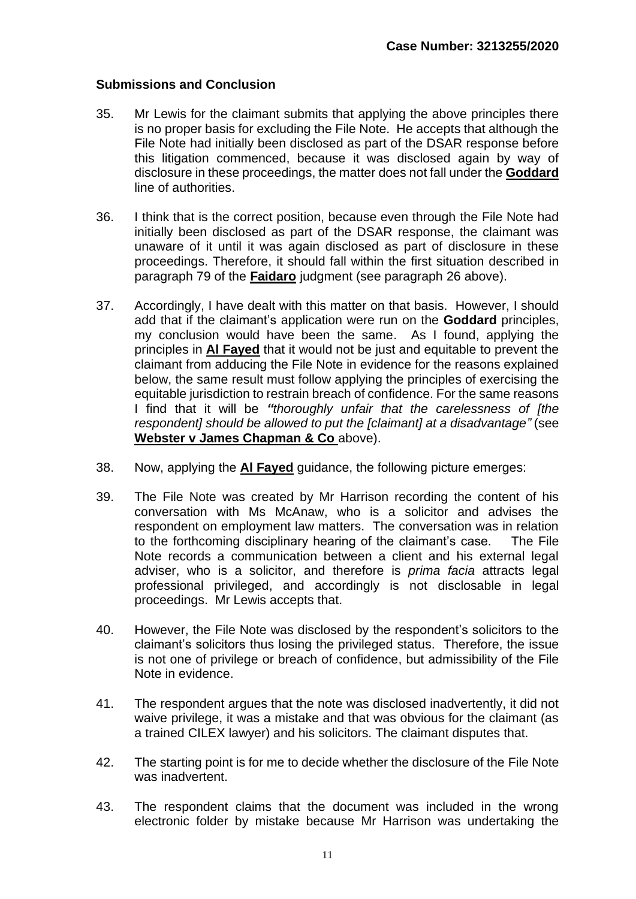# **Submissions and Conclusion**

- 35. Mr Lewis for the claimant submits that applying the above principles there is no proper basis for excluding the File Note. He accepts that although the File Note had initially been disclosed as part of the DSAR response before this litigation commenced, because it was disclosed again by way of disclosure in these proceedings, the matter does not fall under the **Goddard** line of authorities.
- 36. I think that is the correct position, because even through the File Note had initially been disclosed as part of the DSAR response, the claimant was unaware of it until it was again disclosed as part of disclosure in these proceedings. Therefore, it should fall within the first situation described in paragraph 79 of the **Faidaro** judgment (see paragraph [26](#page-6-0) above).
- 37. Accordingly, I have dealt with this matter on that basis. However, I should add that if the claimant's application were run on the **Goddard** principles, my conclusion would have been the same. As I found, applying the principles in **Al Fayed** that it would not be just and equitable to prevent the claimant from adducing the File Note in evidence for the reasons explained below, the same result must follow applying the principles of exercising the equitable jurisdiction to restrain breach of confidence. For the same reasons I find that it will be *"thoroughly unfair that the carelessness of [the respondent] should be allowed to put the [claimant] at a disadvantage"* (see **Webster v James Chapman & Co** above).
- 38. Now, applying the **Al Fayed** guidance, the following picture emerges:
- 39. The File Note was created by Mr Harrison recording the content of his conversation with Ms McAnaw, who is a solicitor and advises the respondent on employment law matters. The conversation was in relation to the forthcoming disciplinary hearing of the claimant's case. The File Note records a communication between a client and his external legal adviser, who is a solicitor, and therefore is *prima facia* attracts legal professional privileged, and accordingly is not disclosable in legal proceedings. Mr Lewis accepts that.
- 40. However, the File Note was disclosed by the respondent's solicitors to the claimant's solicitors thus losing the privileged status. Therefore, the issue is not one of privilege or breach of confidence, but admissibility of the File Note in evidence.
- 41. The respondent argues that the note was disclosed inadvertently, it did not waive privilege, it was a mistake and that was obvious for the claimant (as a trained CILEX lawyer) and his solicitors. The claimant disputes that.
- 42. The starting point is for me to decide whether the disclosure of the File Note was inadvertent.
- 43. The respondent claims that the document was included in the wrong electronic folder by mistake because Mr Harrison was undertaking the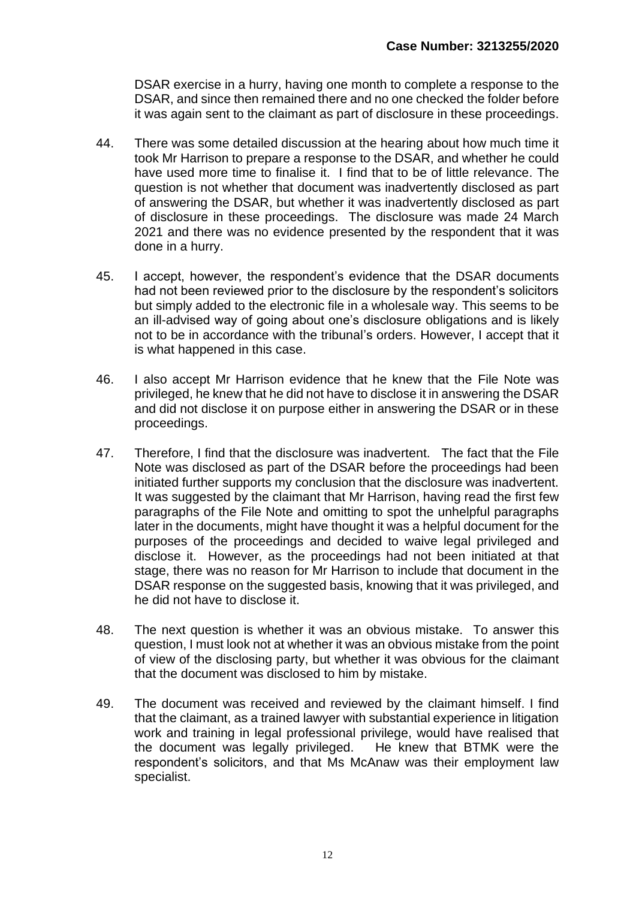DSAR exercise in a hurry, having one month to complete a response to the DSAR, and since then remained there and no one checked the folder before it was again sent to the claimant as part of disclosure in these proceedings.

- 44. There was some detailed discussion at the hearing about how much time it took Mr Harrison to prepare a response to the DSAR, and whether he could have used more time to finalise it. I find that to be of little relevance. The question is not whether that document was inadvertently disclosed as part of answering the DSAR, but whether it was inadvertently disclosed as part of disclosure in these proceedings. The disclosure was made 24 March 2021 and there was no evidence presented by the respondent that it was done in a hurry.
- 45. I accept, however, the respondent's evidence that the DSAR documents had not been reviewed prior to the disclosure by the respondent's solicitors but simply added to the electronic file in a wholesale way. This seems to be an ill-advised way of going about one's disclosure obligations and is likely not to be in accordance with the tribunal's orders. However, I accept that it is what happened in this case.
- 46. I also accept Mr Harrison evidence that he knew that the File Note was privileged, he knew that he did not have to disclose it in answering the DSAR and did not disclose it on purpose either in answering the DSAR or in these proceedings.
- 47. Therefore, I find that the disclosure was inadvertent. The fact that the File Note was disclosed as part of the DSAR before the proceedings had been initiated further supports my conclusion that the disclosure was inadvertent. It was suggested by the claimant that Mr Harrison, having read the first few paragraphs of the File Note and omitting to spot the unhelpful paragraphs later in the documents, might have thought it was a helpful document for the purposes of the proceedings and decided to waive legal privileged and disclose it. However, as the proceedings had not been initiated at that stage, there was no reason for Mr Harrison to include that document in the DSAR response on the suggested basis, knowing that it was privileged, and he did not have to disclose it.
- 48. The next question is whether it was an obvious mistake. To answer this question, I must look not at whether it was an obvious mistake from the point of view of the disclosing party, but whether it was obvious for the claimant that the document was disclosed to him by mistake.
- 49. The document was received and reviewed by the claimant himself. I find that the claimant, as a trained lawyer with substantial experience in litigation work and training in legal professional privilege, would have realised that the document was legally privileged. He knew that BTMK were the respondent's solicitors, and that Ms McAnaw was their employment law specialist.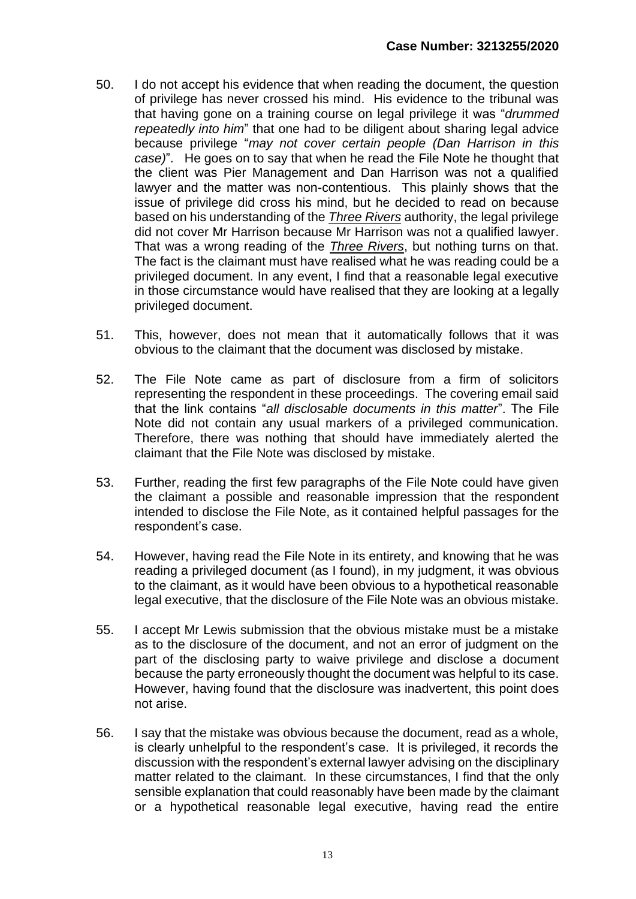- 50. I do not accept his evidence that when reading the document, the question of privilege has never crossed his mind. His evidence to the tribunal was that having gone on a training course on legal privilege it was "*drummed repeatedly into him*" that one had to be diligent about sharing legal advice because privilege "*may not cover certain people (Dan Harrison in this case)*". He goes on to say that when he read the File Note he thought that the client was Pier Management and Dan Harrison was not a qualified lawyer and the matter was non-contentious. This plainly shows that the issue of privilege did cross his mind, but he decided to read on because based on his understanding of the *Three Rivers* authority, the legal privilege did not cover Mr Harrison because Mr Harrison was not a qualified lawyer. That was a wrong reading of the *Three Rivers*, but nothing turns on that. The fact is the claimant must have realised what he was reading could be a privileged document. In any event, I find that a reasonable legal executive in those circumstance would have realised that they are looking at a legally privileged document.
- 51. This, however, does not mean that it automatically follows that it was obvious to the claimant that the document was disclosed by mistake.
- 52. The File Note came as part of disclosure from a firm of solicitors representing the respondent in these proceedings. The covering email said that the link contains "*all disclosable documents in this matter*". The File Note did not contain any usual markers of a privileged communication. Therefore, there was nothing that should have immediately alerted the claimant that the File Note was disclosed by mistake.
- 53. Further, reading the first few paragraphs of the File Note could have given the claimant a possible and reasonable impression that the respondent intended to disclose the File Note, as it contained helpful passages for the respondent's case.
- 54. However, having read the File Note in its entirety, and knowing that he was reading a privileged document (as I found), in my judgment, it was obvious to the claimant, as it would have been obvious to a hypothetical reasonable legal executive, that the disclosure of the File Note was an obvious mistake.
- 55. I accept Mr Lewis submission that the obvious mistake must be a mistake as to the disclosure of the document, and not an error of judgment on the part of the disclosing party to waive privilege and disclose a document because the party erroneously thought the document was helpful to its case. However, having found that the disclosure was inadvertent, this point does not arise.
- 56. I say that the mistake was obvious because the document, read as a whole, is clearly unhelpful to the respondent's case. It is privileged, it records the discussion with the respondent's external lawyer advising on the disciplinary matter related to the claimant. In these circumstances, I find that the only sensible explanation that could reasonably have been made by the claimant or a hypothetical reasonable legal executive, having read the entire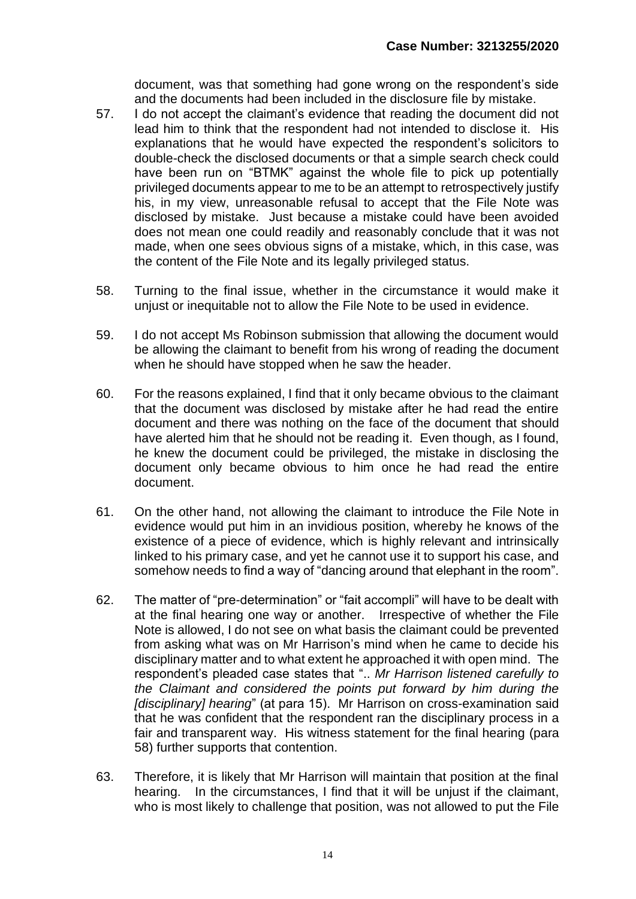document, was that something had gone wrong on the respondent's side and the documents had been included in the disclosure file by mistake.

- 57. I do not accept the claimant's evidence that reading the document did not lead him to think that the respondent had not intended to disclose it. His explanations that he would have expected the respondent's solicitors to double-check the disclosed documents or that a simple search check could have been run on "BTMK" against the whole file to pick up potentially privileged documents appear to me to be an attempt to retrospectively justify his, in my view, unreasonable refusal to accept that the File Note was disclosed by mistake. Just because a mistake could have been avoided does not mean one could readily and reasonably conclude that it was not made, when one sees obvious signs of a mistake, which, in this case, was the content of the File Note and its legally privileged status.
- 58. Turning to the final issue, whether in the circumstance it would make it unjust or inequitable not to allow the File Note to be used in evidence.
- 59. I do not accept Ms Robinson submission that allowing the document would be allowing the claimant to benefit from his wrong of reading the document when he should have stopped when he saw the header.
- 60. For the reasons explained, I find that it only became obvious to the claimant that the document was disclosed by mistake after he had read the entire document and there was nothing on the face of the document that should have alerted him that he should not be reading it. Even though, as I found, he knew the document could be privileged, the mistake in disclosing the document only became obvious to him once he had read the entire document.
- 61. On the other hand, not allowing the claimant to introduce the File Note in evidence would put him in an invidious position, whereby he knows of the existence of a piece of evidence, which is highly relevant and intrinsically linked to his primary case, and yet he cannot use it to support his case, and somehow needs to find a way of "dancing around that elephant in the room".
- 62. The matter of "pre-determination" or "fait accompli" will have to be dealt with at the final hearing one way or another. Irrespective of whether the File Note is allowed, I do not see on what basis the claimant could be prevented from asking what was on Mr Harrison's mind when he came to decide his disciplinary matter and to what extent he approached it with open mind. The respondent's pleaded case states that ".. *Mr Harrison listened carefully to the Claimant and considered the points put forward by him during the [disciplinary] hearing*" (at para 15). Mr Harrison on cross-examination said that he was confident that the respondent ran the disciplinary process in a fair and transparent way. His witness statement for the final hearing (para 58) further supports that contention.
- 63. Therefore, it is likely that Mr Harrison will maintain that position at the final hearing. In the circumstances, I find that it will be unjust if the claimant, who is most likely to challenge that position, was not allowed to put the File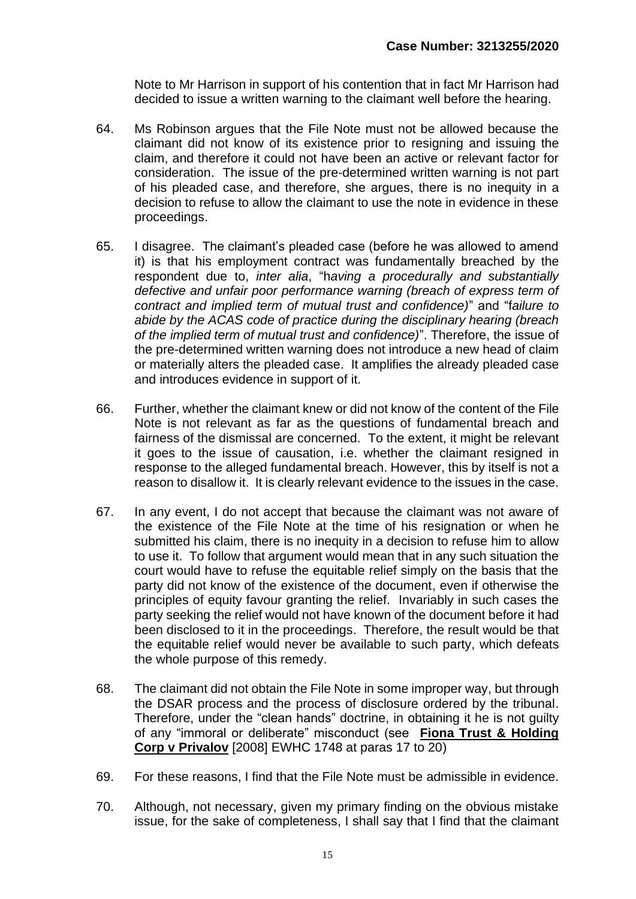Note to Mr Harrison in support of his contention that in fact Mr Harrison had decided to issue a written warning to the claimant well before the hearing.

- 64. Ms Robinson argues that the File Note must not be allowed because the claimant did not know of its existence prior to resigning and issuing the claim, and therefore it could not have been an active or relevant factor for consideration. The issue of the pre-determined written warning is not part of his pleaded case, and therefore, she argues, there is no inequity in a decision to refuse to allow the claimant to use the note in evidence in these proceedings.
- 65. I disagree. The claimant's pleaded case (before he was allowed to amend it) is that his employment contract was fundamentally breached by the respondent due to, *inter alia*, "h*aving a procedurally and substantially defective and unfair poor performance warning (breach of express term of contract and implied term of mutual trust and confidence)*" and "f*ailure to abide by the ACAS code of practice during the disciplinary hearing (breach of the implied term of mutual trust and confidence)*". Therefore, the issue of the pre-determined written warning does not introduce a new head of claim or materially alters the pleaded case. It amplifies the already pleaded case and introduces evidence in support of it.
- 66. Further, whether the claimant knew or did not know of the content of the File Note is not relevant as far as the questions of fundamental breach and fairness of the dismissal are concerned. To the extent, it might be relevant it goes to the issue of causation, i.e. whether the claimant resigned in response to the alleged fundamental breach. However, this by itself is not a reason to disallow it. It is clearly relevant evidence to the issues in the case.
- 67. In any event, I do not accept that because the claimant was not aware of the existence of the File Note at the time of his resignation or when he submitted his claim, there is no inequity in a decision to refuse him to allow to use it. To follow that argument would mean that in any such situation the court would have to refuse the equitable relief simply on the basis that the party did not know of the existence of the document, even if otherwise the principles of equity favour granting the relief. Invariably in such cases the party seeking the relief would not have known of the document before it had been disclosed to it in the proceedings. Therefore, the result would be that the equitable relief would never be available to such party, which defeats the whole purpose of this remedy.
- 68. The claimant did not obtain the File Note in some improper way, but through the DSAR process and the process of disclosure ordered by the tribunal. Therefore, under the "clean hands" doctrine, in obtaining it he is not guilty of any "immoral or deliberate" misconduct (see **Fiona Trust & Holding Corp v Privalov** [2008] EWHC 1748 at paras 17 to 20)
- 69. For these reasons, I find that the File Note must be admissible in evidence.
- 70. Although, not necessary, given my primary finding on the obvious mistake issue, for the sake of completeness, I shall say that I find that the claimant